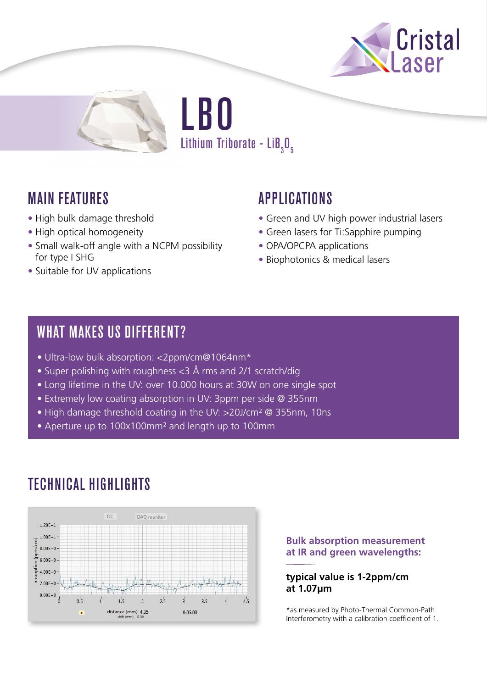



LBO Lithium Triborate - Li $\mathbf{B}_{_{3}}\mathbf{0}_{_{5}}$ 

## MAIN FEATURES

- High bulk damage threshold
- High optical homogeneity
- Small walk-off angle with a NCPM possibility for type I SHG
- Suitable for UV applications

## APPLICATIONS

- Green and UV high power industrial lasers
- Green lasers for Ti:Sapphire pumping
- OPA/OPCPA applications
- Biophotonics & medical lasers

### WHAT MAKES US DIFFERENT?

- Ultra-low bulk absorption: <2ppm/cm@1064nm\*
- Super polishing with roughness <3 Å rms and 2/1 scratch/dig
- Long lifetime in the UV: over 10.000 hours at 30W on one single spot
- Extremely low coating absorption in UV: 3ppm per side @ 355nm
- High damage threshold coating in the UV: >20J/cm<sup>2</sup> @ 355nm, 10ns
- Aperture up to 100x100mm² and length up to 100mm

# TECHNICAL HIGHLIGHTS



### **Bulk absorption measurement at IR and green wavelengths:**

### **typical value is 1-2ppm/cm at 1.07µm**

\*as measured by Photo-Thermal Common-Path Interferometry with a calibration coefficient of 1.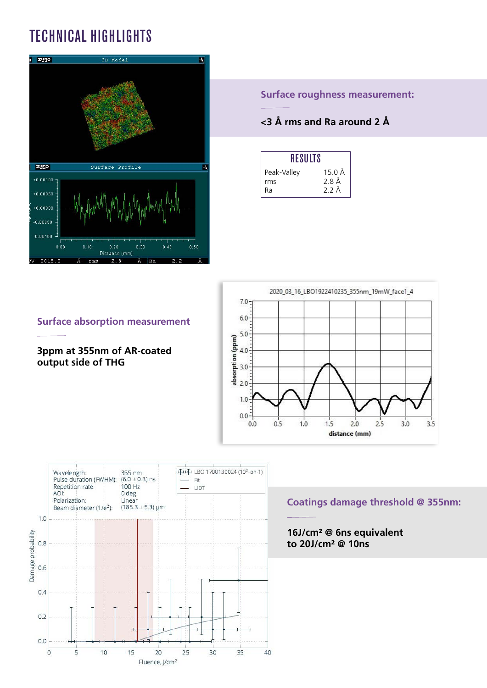# TECHNICAL HIGHLIGHTS



**Surface roughness measurement:**

### **<3 Å rms and Ra around 2 Å**

| RESULTS     |                 |
|-------------|-----------------|
| Peak-Valley | 15 O Å          |
| rms         | 28Å             |
| Rа          | $2.2 \text{ Å}$ |



### **Surface absorption measurement**

**3ppm at 355nm of AR-coated output side of THG** 



### **Coatings damage threshold @ 355nm:**

### **16J/cm² @ 6ns equivalent to 20J/cm² @ 10ns**